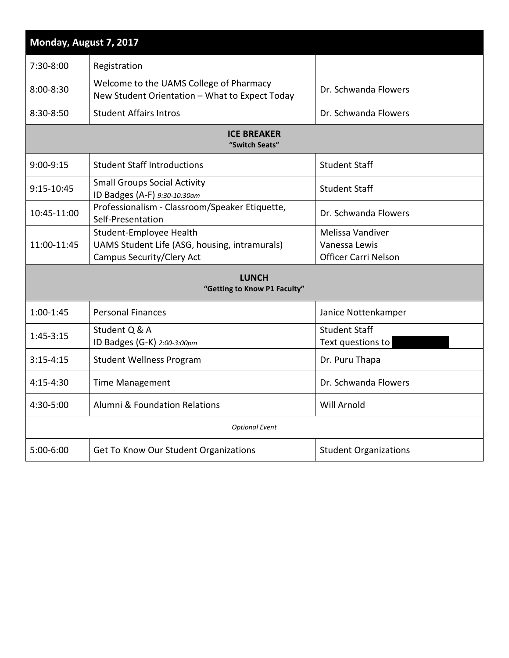| Monday, August 7, 2017                       |                                                                                                              |                                                                  |  |  |
|----------------------------------------------|--------------------------------------------------------------------------------------------------------------|------------------------------------------------------------------|--|--|
| 7:30-8:00                                    | Registration                                                                                                 |                                                                  |  |  |
| 8:00-8:30                                    | Welcome to the UAMS College of Pharmacy<br>New Student Orientation - What to Expect Today                    | Dr. Schwanda Flowers                                             |  |  |
| 8:30-8:50                                    | <b>Student Affairs Intros</b>                                                                                | Dr. Schwanda Flowers                                             |  |  |
| <b>ICE BREAKER</b><br>"Switch Seats"         |                                                                                                              |                                                                  |  |  |
| 9:00-9:15                                    | <b>Student Staff Introductions</b>                                                                           | <b>Student Staff</b>                                             |  |  |
| 9:15-10:45                                   | <b>Small Groups Social Activity</b><br>ID Badges (A-F) 9:30-10:30am                                          | <b>Student Staff</b>                                             |  |  |
| 10:45-11:00                                  | Professionalism - Classroom/Speaker Etiquette,<br>Self-Presentation                                          | Dr. Schwanda Flowers                                             |  |  |
| 11:00-11:45                                  | Student-Employee Health<br>UAMS Student Life (ASG, housing, intramurals)<br><b>Campus Security/Clery Act</b> | Melissa Vandiver<br>Vanessa Lewis<br><b>Officer Carri Nelson</b> |  |  |
| <b>LUNCH</b><br>"Getting to Know P1 Faculty" |                                                                                                              |                                                                  |  |  |
| $1:00 - 1:45$                                | <b>Personal Finances</b>                                                                                     | Janice Nottenkamper                                              |  |  |
| $1:45-3:15$                                  | Student Q & A<br>ID Badges (G-K) 2:00-3:00pm                                                                 | <b>Student Staff</b><br>Text questions to                        |  |  |
| $3:15 - 4:15$                                | <b>Student Wellness Program</b>                                                                              | Dr. Puru Thapa                                                   |  |  |
| 4:15-4:30                                    | <b>Time Management</b>                                                                                       | Dr. Schwanda Flowers                                             |  |  |
| 4:30-5:00                                    | Alumni & Foundation Relations                                                                                | Will Arnold                                                      |  |  |
| <b>Optional Event</b>                        |                                                                                                              |                                                                  |  |  |
| 5:00-6:00                                    | Get To Know Our Student Organizations                                                                        | <b>Student Organizations</b>                                     |  |  |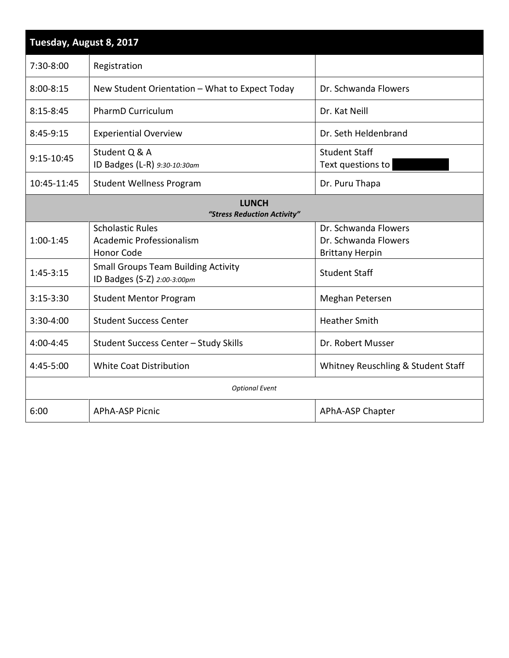| Tuesday, August 8, 2017                     |                                                                           |                                                                        |  |  |
|---------------------------------------------|---------------------------------------------------------------------------|------------------------------------------------------------------------|--|--|
| 7:30-8:00                                   | Registration                                                              |                                                                        |  |  |
| $8:00 - 8:15$                               | New Student Orientation - What to Expect Today                            | Dr. Schwanda Flowers                                                   |  |  |
| $8:15 - 8:45$                               | <b>PharmD Curriculum</b>                                                  | Dr. Kat Neill                                                          |  |  |
| 8:45-9:15                                   | <b>Experiential Overview</b>                                              | Dr. Seth Heldenbrand                                                   |  |  |
| 9:15-10:45                                  | Student Q & A<br>ID Badges (L-R) 9:30-10:30am                             | <b>Student Staff</b><br>Text questions to                              |  |  |
| 10:45-11:45                                 | <b>Student Wellness Program</b>                                           | Dr. Puru Thapa                                                         |  |  |
| <b>LUNCH</b><br>"Stress Reduction Activity" |                                                                           |                                                                        |  |  |
| $1:00-1:45$                                 | <b>Scholastic Rules</b><br>Academic Professionalism<br><b>Honor Code</b>  | Dr. Schwanda Flowers<br>Dr. Schwanda Flowers<br><b>Brittany Herpin</b> |  |  |
| $1:45-3:15$                                 | <b>Small Groups Team Building Activity</b><br>ID Badges (S-Z) 2:00-3:00pm | <b>Student Staff</b>                                                   |  |  |
| $3:15-3:30$                                 | <b>Student Mentor Program</b>                                             | Meghan Petersen                                                        |  |  |
| 3:30-4:00                                   | <b>Student Success Center</b>                                             | <b>Heather Smith</b>                                                   |  |  |
| 4:00-4:45                                   | Student Success Center - Study Skills                                     | Dr. Robert Musser                                                      |  |  |
| 4:45-5:00                                   | <b>White Coat Distribution</b>                                            | Whitney Reuschling & Student Staff                                     |  |  |
| <b>Optional Event</b>                       |                                                                           |                                                                        |  |  |
| 6:00                                        | <b>APhA-ASP Picnic</b>                                                    | APhA-ASP Chapter                                                       |  |  |